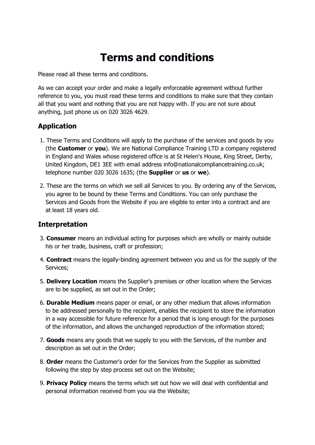# **Terms and conditions**

Please read all these terms and conditions.

As we can accept your order and make a legally enforceable agreement without further reference to you, you must read these terms and conditions to make sure that they contain all that you want and nothing that you are not happy with. If you are not sure about anything, just phone us on 020 3026 4629.

## **Application**

- 1. These Terms and Conditions will apply to the purchase of the services and goods by you (the **Customer** or **you**). We are National Compliance Training LTD a company registered in England and Wales whose registered office is at St Helen's House, King Street, Derby, United Kingdom, DE1 3EE with email address info@nationalcompliancetraining.co.uk; telephone number 020 3026 1635; (the **Supplier** or **us** or **we**).
- 2. These are the terms on which we sell all Services to you. By ordering any of the Services, you agree to be bound by these Terms and Conditions. You can only purchase the Services and Goods from the Website if you are eligible to enter into a contract and are at least 18 years old.

## **Interpretation**

- 3. **Consumer** means an individual acting for purposes which are wholly or mainly outside his or her trade, business, craft or profession;
- 4. **Contract** means the legally-binding agreement between you and us for the supply of the Services;
- 5. **Delivery Location** means the Supplier's premises or other location where the Services are to be supplied, as set out in the Order;
- 6. **Durable Medium** means paper or email, or any other medium that allows information to be addressed personally to the recipient, enables the recipient to store the information in a way accessible for future reference for a period that is long enough for the purposes of the information, and allows the unchanged reproduction of the information stored;
- 7. **Goods** means any goods that we supply to you with the Services, of the number and description as set out in the Order;
- 8. **Order** means the Customer's order for the Services from the Supplier as submitted following the step by step process set out on the Website;
- 9. **Privacy Policy** means the terms which set out how we will deal with confidential and personal information received from you via the Website;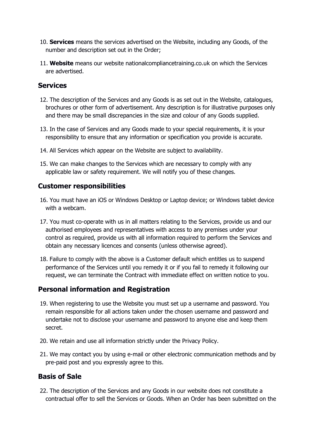- 10. **Services** means the services advertised on the Website, including any Goods, of the number and description set out in the Order;
- 11. **Website** means our website nationalcompliancetraining.co.uk on which the Services are advertised.

#### **Services**

- 12. The description of the Services and any Goods is as set out in the Website, catalogues, brochures or other form of advertisement. Any description is for illustrative purposes only and there may be small discrepancies in the size and colour of any Goods supplied.
- 13. In the case of Services and any Goods made to your special requirements, it is your responsibility to ensure that any information or specification you provide is accurate.
- 14. All Services which appear on the Website are subject to availability.
- 15. We can make changes to the Services which are necessary to comply with any applicable law or safety requirement. We will notify you of these changes.

#### **Customer responsibilities**

- 16. You must have an iOS or Windows Desktop or Laptop device; or Windows tablet device with a webcam.
- 17. You must co-operate with us in all matters relating to the Services, provide us and our authorised employees and representatives with access to any premises under your control as required, provide us with all information required to perform the Services and obtain any necessary licences and consents (unless otherwise agreed).
- 18. Failure to comply with the above is a Customer default which entitles us to suspend performance of the Services until you remedy it or if you fail to remedy it following our request, we can terminate the Contract with immediate effect on written notice to you.

## **Personal information and Registration**

- 19. When registering to use the Website you must set up a username and password. You remain responsible for all actions taken under the chosen username and password and undertake not to disclose your username and password to anyone else and keep them secret.
- 20. We retain and use all information strictly under the Privacy Policy.
- 21. We may contact you by using e-mail or other electronic communication methods and by pre-paid post and you expressly agree to this.

#### **Basis of Sale**

22. The description of the Services and any Goods in our website does not constitute a contractual offer to sell the Services or Goods. When an Order has been submitted on the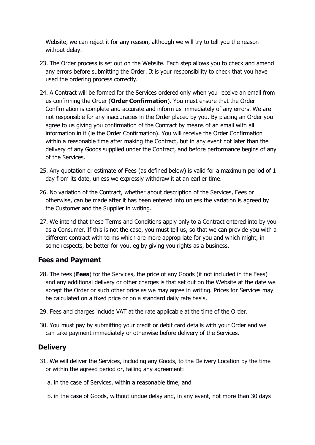Website, we can reject it for any reason, although we will try to tell you the reason without delay.

- 23. The Order process is set out on the Website. Each step allows you to check and amend any errors before submitting the Order. It is your responsibility to check that you have used the ordering process correctly.
- 24. A Contract will be formed for the Services ordered only when you receive an email from us confirming the Order (**Order Confirmation**). You must ensure that the Order Confirmation is complete and accurate and inform us immediately of any errors. We are not responsible for any inaccuracies in the Order placed by you. By placing an Order you agree to us giving you confirmation of the Contract by means of an email with all information in it (ie the Order Confirmation). You will receive the Order Confirmation within a reasonable time after making the Contract, but in any event not later than the delivery of any Goods supplied under the Contract, and before performance begins of any of the Services.
- 25. Any quotation or estimate of Fees (as defined below) is valid for a maximum period of 1 day from its date, unless we expressly withdraw it at an earlier time.
- 26. No variation of the Contract, whether about description of the Services, Fees or otherwise, can be made after it has been entered into unless the variation is agreed by the Customer and the Supplier in writing.
- 27. We intend that these Terms and Conditions apply only to a Contract entered into by you as a Consumer. If this is not the case, you must tell us, so that we can provide you with a different contract with terms which are more appropriate for you and which might, in some respects, be better for you, eg by giving you rights as a business.

## **Fees and Payment**

- 28. The fees (**Fees**) for the Services, the price of any Goods (if not included in the Fees) and any additional delivery or other charges is that set out on the Website at the date we accept the Order or such other price as we may agree in writing. Prices for Services may be calculated on a fixed price or on a standard daily rate basis.
- 29. Fees and charges include VAT at the rate applicable at the time of the Order.
- 30. You must pay by submitting your credit or debit card details with your Order and we can take payment immediately or otherwise before delivery of the Services.

#### **Delivery**

- 31. We will deliver the Services, including any Goods, to the Delivery Location by the time or within the agreed period or, failing any agreement:
	- a. in the case of Services, within a reasonable time; and
	- b. in the case of Goods, without undue delay and, in any event, not more than 30 days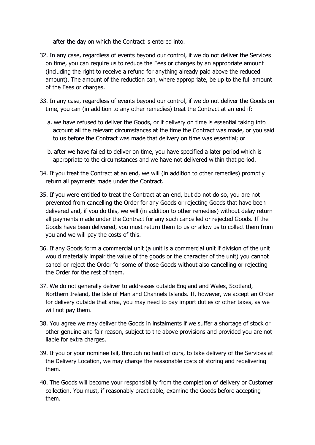after the day on which the Contract is entered into.

- 32. In any case, regardless of events beyond our control, if we do not deliver the Services on time, you can require us to reduce the Fees or charges by an appropriate amount (including the right to receive a refund for anything already paid above the reduced amount). The amount of the reduction can, where appropriate, be up to the full amount of the Fees or charges.
- 33. In any case, regardless of events beyond our control, if we do not deliver the Goods on time, you can (in addition to any other remedies) treat the Contract at an end if:
	- a. we have refused to deliver the Goods, or if delivery on time is essential taking into account all the relevant circumstances at the time the Contract was made, or you said to us before the Contract was made that delivery on time was essential; or
	- b. after we have failed to deliver on time, you have specified a later period which is appropriate to the circumstances and we have not delivered within that period.
- 34. If you treat the Contract at an end, we will (in addition to other remedies) promptly return all payments made under the Contract.
- 35. If you were entitled to treat the Contract at an end, but do not do so, you are not prevented from cancelling the Order for any Goods or rejecting Goods that have been delivered and, if you do this, we will (in addition to other remedies) without delay return all payments made under the Contract for any such cancelled or rejected Goods. If the Goods have been delivered, you must return them to us or allow us to collect them from you and we will pay the costs of this.
- 36. If any Goods form a commercial unit (a unit is a commercial unit if division of the unit would materially impair the value of the goods or the character of the unit) you cannot cancel or reject the Order for some of those Goods without also cancelling or rejecting the Order for the rest of them.
- 37. We do not generally deliver to addresses outside England and Wales, Scotland, Northern Ireland, the Isle of Man and Channels Islands. If, however, we accept an Order for delivery outside that area, you may need to pay import duties or other taxes, as we will not pay them.
- 38. You agree we may deliver the Goods in instalments if we suffer a shortage of stock or other genuine and fair reason, subject to the above provisions and provided you are not liable for extra charges.
- 39. If you or your nominee fail, through no fault of ours, to take delivery of the Services at the Delivery Location, we may charge the reasonable costs of storing and redelivering them.
- 40. The Goods will become your responsibility from the completion of delivery or Customer collection. You must, if reasonably practicable, examine the Goods before accepting them.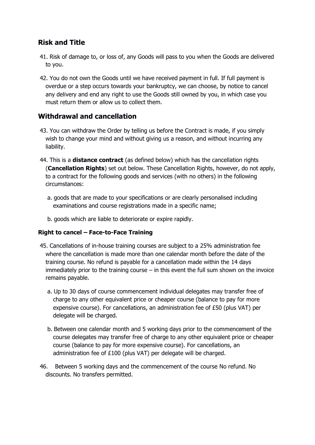## **Risk and Title**

- 41. Risk of damage to, or loss of, any Goods will pass to you when the Goods are delivered to you.
- 42. You do not own the Goods until we have received payment in full. If full payment is overdue or a step occurs towards your bankruptcy, we can choose, by notice to cancel any delivery and end any right to use the Goods still owned by you, in which case you must return them or allow us to collect them.

## **Withdrawal and cancellation**

- 43. You can withdraw the Order by telling us before the Contract is made, if you simply wish to change your mind and without giving us a reason, and without incurring any liability.
- 44. This is a **distance contract** (as defined below) which has the cancellation rights (**Cancellation Rights**) set out below. These Cancellation Rights, however, do not apply, to a contract for the following goods and services (with no others) in the following circumstances:
	- a. goods that are made to your specifications or are clearly personalised including examinations and course registrations made in a specific name;
	- b. goods which are liable to deteriorate or expire rapidly.

#### **Right to cancel – Face-to-Face Training**

- 45. Cancellations of in-house training courses are subject to a 25% administration fee where the cancellation is made more than one calendar month before the date of the training course. No refund is payable for a cancellation made within the 14 days immediately prior to the training course  $-$  in this event the full sum shown on the invoice remains payable.
	- a. Up to 30 days of course commencement individual delegates may transfer free of charge to any other equivalent price or cheaper course (balance to pay for more expensive course). For cancellations, an administration fee of £50 (plus VAT) per delegate will be charged.
	- b. Between one calendar month and 5 working days prior to the commencement of the course delegates may transfer free of charge to any other equivalent price or cheaper course (balance to pay for more expensive course). For cancellations, an administration fee of £100 (plus VAT) per delegate will be charged.
- 46. Between 5 working days and the commencement of the course No refund. No discounts. No transfers permitted.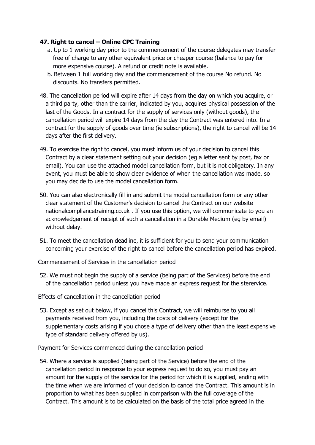#### **47. Right to cancel – Online CPC Training**

- a. Up to 1 working day prior to the commencement of the course delegates may transfer free of charge to any other equivalent price or cheaper course (balance to pay for more expensive course). A refund or credit note is available.
- b. Between 1 full working day and the commencement of the course No refund. No discounts. No transfers permitted.
- 48. The cancellation period will expire after 14 days from the day on which you acquire, or a third party, other than the carrier, indicated by you, acquires physical possession of the last of the Goods. In a contract for the supply of services only (without goods), the cancellation period will expire 14 days from the day the Contract was entered into. In a contract for the supply of goods over time (ie subscriptions), the right to cancel will be 14 days after the first delivery.
- 49. To exercise the right to cancel, you must inform us of your decision to cancel this Contract by a clear statement setting out your decision (eg a letter sent by post, fax or email). You can use the attached model cancellation form, but it is not obligatory. In any event, you must be able to show clear evidence of when the cancellation was made, so you may decide to use the model cancellation form.
- 50. You can also electronically fill in and submit the model cancellation form or any other clear statement of the Customer's decision to cancel the Contract on our website nationalcompliancetraining.co.uk . If you use this option, we will communicate to you an acknowledgement of receipt of such a cancellation in a Durable Medium (eg by email) without delay.
- 51. To meet the cancellation deadline, it is sufficient for you to send your communication concerning your exercise of the right to cancel before the cancellation period has expired.

Commencement of Services in the cancellation period

52. We must not begin the supply of a service (being part of the Services) before the end of the cancellation period unless you have made an express request for the sterervice.

Effects of cancellation in the cancellation period

53. Except as set out below, if you cancel this Contract, we will reimburse to you all payments received from you, including the costs of delivery (except for the supplementary costs arising if you chose a type of delivery other than the least expensive type of standard delivery offered by us).

Payment for Services commenced during the cancellation period

54. Where a service is supplied (being part of the Service) before the end of the cancellation period in response to your express request to do so, you must pay an amount for the supply of the service for the period for which it is supplied, ending with the time when we are informed of your decision to cancel the Contract. This amount is in proportion to what has been supplied in comparison with the full coverage of the Contract. This amount is to be calculated on the basis of the total price agreed in the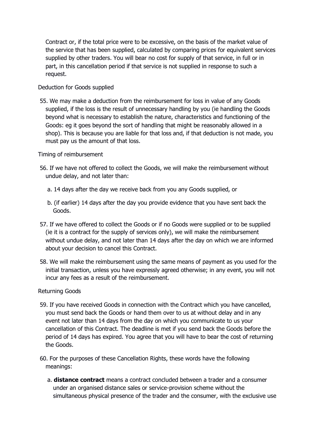Contract or, if the total price were to be excessive, on the basis of the market value of the service that has been supplied, calculated by comparing prices for equivalent services supplied by other traders. You will bear no cost for supply of that service, in full or in part, in this cancellation period if that service is not supplied in response to such a request.

#### Deduction for Goods supplied

55. We may make a deduction from the reimbursement for loss in value of any Goods supplied, if the loss is the result of unnecessary handling by you (ie handling the Goods beyond what is necessary to establish the nature, characteristics and functioning of the Goods: eg it goes beyond the sort of handling that might be reasonably allowed in a shop). This is because you are liable for that loss and, if that deduction is not made, you must pay us the amount of that loss.

#### Timing of reimbursement

- 56. If we have not offered to collect the Goods, we will make the reimbursement without undue delay, and not later than:
	- a. 14 days after the day we receive back from you any Goods supplied, or
	- b. (if earlier) 14 days after the day you provide evidence that you have sent back the Goods.
- 57. If we have offered to collect the Goods or if no Goods were supplied or to be supplied (ie it is a contract for the supply of services only), we will make the reimbursement without undue delay, and not later than 14 days after the day on which we are informed about your decision to cancel this Contract.
- 58. We will make the reimbursement using the same means of payment as you used for the initial transaction, unless you have expressly agreed otherwise; in any event, you will not incur any fees as a result of the reimbursement.

#### Returning Goods

- 59. If you have received Goods in connection with the Contract which you have cancelled, you must send back the Goods or hand them over to us at without delay and in any event not later than 14 days from the day on which you communicate to us your cancellation of this Contract. The deadline is met if you send back the Goods before the period of 14 days has expired. You agree that you will have to bear the cost of returning the Goods.
- 60. For the purposes of these Cancellation Rights, these words have the following meanings:
	- a. **distance contract** means a contract concluded between a trader and a consumer under an organised distance sales or service-provision scheme without the simultaneous physical presence of the trader and the consumer, with the exclusive use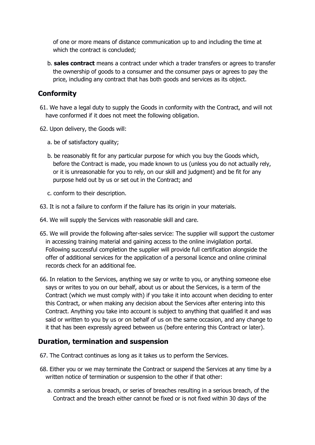of one or more means of distance communication up to and including the time at which the contract is concluded;

b. **sales contract** means a contract under which a trader transfers or agrees to transfer the ownership of goods to a consumer and the consumer pays or agrees to pay the price, including any contract that has both goods and services as its object.

## **Conformity**

- 61. We have a legal duty to supply the Goods in conformity with the Contract, and will not have conformed if it does not meet the following obligation.
- 62. Upon delivery, the Goods will:
	- a. be of satisfactory quality;
	- b. be reasonably fit for any particular purpose for which you buy the Goods which, before the Contract is made, you made known to us (unless you do not actually rely, or it is unreasonable for you to rely, on our skill and judgment) and be fit for any purpose held out by us or set out in the Contract; and
	- c. conform to their description.
- 63. It is not a failure to conform if the failure has its origin in your materials.
- 64. We will supply the Services with reasonable skill and care.
- 65. We will provide the following after-sales service: The supplier will support the customer in accessing training material and gaining access to the online invigilation portal. Following successful completion the supplier will provide full certification alongside the offer of additional services for the application of a personal licence and online criminal records check for an additional fee.
- 66. In relation to the Services, anything we say or write to you, or anything someone else says or writes to you on our behalf, about us or about the Services, is a term of the Contract (which we must comply with) if you take it into account when deciding to enter this Contract, or when making any decision about the Services after entering into this Contract. Anything you take into account is subject to anything that qualified it and was said or written to you by us or on behalf of us on the same occasion, and any change to it that has been expressly agreed between us (before entering this Contract or later).

## **Duration, termination and suspension**

- 67. The Contract continues as long as it takes us to perform the Services.
- 68. Either you or we may terminate the Contract or suspend the Services at any time by a written notice of termination or suspension to the other if that other:
	- a. commits a serious breach, or series of breaches resulting in a serious breach, of the Contract and the breach either cannot be fixed or is not fixed within 30 days of the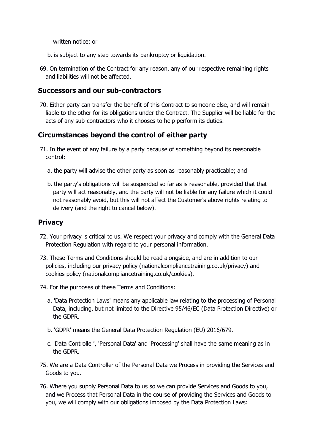written notice; or

- b. is subject to any step towards its bankruptcy or liquidation.
- 69. On termination of the Contract for any reason, any of our respective remaining rights and liabilities will not be affected.

#### **Successors and our sub-contractors**

70. Either party can transfer the benefit of this Contract to someone else, and will remain liable to the other for its obligations under the Contract. The Supplier will be liable for the acts of any sub-contractors who it chooses to help perform its duties.

#### **Circumstances beyond the control of either party**

- 71. In the event of any failure by a party because of something beyond its reasonable control:
	- a. the party will advise the other party as soon as reasonably practicable; and
	- b. the party's obligations will be suspended so far as is reasonable, provided that that party will act reasonably, and the party will not be liable for any failure which it could not reasonably avoid, but this will not affect the Customer's above rights relating to delivery (and the right to cancel below).

#### **Privacy**

- 72. Your privacy is critical to us. We respect your privacy and comply with the General Data Protection Regulation with regard to your personal information.
- 73. These Terms and Conditions should be read alongside, and are in addition to our policies, including our privacy policy (nationalcompliancetraining.co.uk/privacy) and cookies policy (nationalcompliancetraining.co.uk/cookies).
- 74. For the purposes of these Terms and Conditions:
	- a. 'Data Protection Laws' means any applicable law relating to the processing of Personal Data, including, but not limited to the Directive 95/46/EC (Data Protection Directive) or the GDPR.
	- b. 'GDPR' means the General Data Protection Regulation (EU) 2016/679.
	- c. 'Data Controller', 'Personal Data' and 'Processing' shall have the same meaning as in the GDPR.
- 75. We are a Data Controller of the Personal Data we Process in providing the Services and Goods to you.
- 76. Where you supply Personal Data to us so we can provide Services and Goods to you, and we Process that Personal Data in the course of providing the Services and Goods to you, we will comply with our obligations imposed by the Data Protection Laws: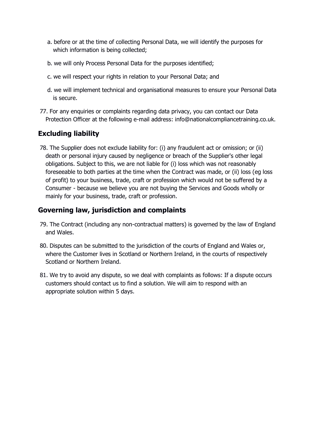- a. before or at the time of collecting Personal Data, we will identify the purposes for which information is being collected;
- b. we will only Process Personal Data for the purposes identified;
- c. we will respect your rights in relation to your Personal Data; and
- d. we will implement technical and organisational measures to ensure your Personal Data is secure.
- 77. For any enquiries or complaints regarding data privacy, you can contact our Data Protection Officer at the following e-mail address: info@nationalcompliancetraining.co.uk.

## **Excluding liability**

78. The Supplier does not exclude liability for: (i) any fraudulent act or omission; or (ii) death or personal injury caused by negligence or breach of the Supplier's other legal obligations. Subject to this, we are not liable for (i) loss which was not reasonably foreseeable to both parties at the time when the Contract was made, or (ii) loss (eg loss of profit) to your business, trade, craft or profession which would not be suffered by a Consumer - because we believe you are not buying the Services and Goods wholly or mainly for your business, trade, craft or profession.

## **Governing law, jurisdiction and complaints**

- 79. The Contract (including any non-contractual matters) is governed by the law of England and Wales.
- 80. Disputes can be submitted to the jurisdiction of the courts of England and Wales or, where the Customer lives in Scotland or Northern Ireland, in the courts of respectively Scotland or Northern Ireland.
- 81. We try to avoid any dispute, so we deal with complaints as follows: If a dispute occurs customers should contact us to find a solution. We will aim to respond with an appropriate solution within 5 days.